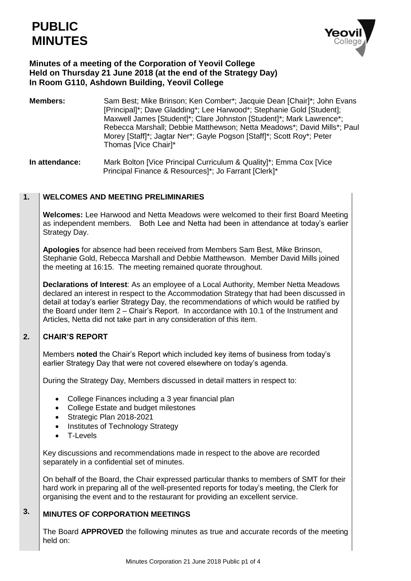

# **Minutes of a meeting of the Corporation of Yeovil College Held on Thursday 21 June 2018 (at the end of the Strategy Day) In Room G110, Ashdown Building, Yeovil College**

**Members:** Sam Best; Mike Brinson; Ken Comber\*; Jacquie Dean [Chair]\*; John Evans [Principal]\*; Dave Gladding\*; Lee Harwood\*; Stephanie Gold [Student]; Maxwell James [Student]\*; Clare Johnston [Student]\*; Mark Lawrence\*; Rebecca Marshall; Debbie Matthewson; Netta Meadows\*; David Mills\*; Paul Morey [Staff]\*; Jagtar Ner\*; Gayle Pogson [Staff]\*; Scott Roy\*; Peter Thomas [Vice Chair]\*

**In attendance:** Mark Bolton [Vice Principal Curriculum & Quality]\*; Emma Cox [Vice Principal Finance & Resources]\*; Jo Farrant [Clerk]\*

### **1. WELCOMES AND MEETING PRELIMINARIES**

**Welcomes:** Lee Harwood and Netta Meadows were welcomed to their first Board Meeting as independent members. Both Lee and Netta had been in attendance at today's earlier Strategy Day.

**Apologies** for absence had been received from Members Sam Best, Mike Brinson, Stephanie Gold, Rebecca Marshall and Debbie Matthewson. Member David Mills joined the meeting at 16:15. The meeting remained quorate throughout.

**Declarations of Interest**: As an employee of a Local Authority, Member Netta Meadows declared an interest in respect to the Accommodation Strategy that had been discussed in detail at today's earlier Strategy Day, the recommendations of which would be ratified by the Board under Item 2 – Chair's Report. In accordance with 10.1 of the Instrument and Articles, Netta did not take part in any consideration of this item.

### **2. CHAIR'S REPORT**

Members **noted** the Chair's Report which included key items of business from today's earlier Strategy Day that were not covered elsewhere on today's agenda.

During the Strategy Day, Members discussed in detail matters in respect to:

- College Finances including a 3 year financial plan
- College Estate and budget milestones
- Strategic Plan 2018-2021
- Institutes of Technology Strategy
- T-Levels

Key discussions and recommendations made in respect to the above are recorded separately in a confidential set of minutes.

On behalf of the Board, the Chair expressed particular thanks to members of SMT for their hard work in preparing all of the well-presented reports for today's meeting, the Clerk for organising the event and to the restaurant for providing an excellent service.

## **3. MINUTES OF CORPORATION MEETINGS**

The Board **APPROVED** the following minutes as true and accurate records of the meeting held on: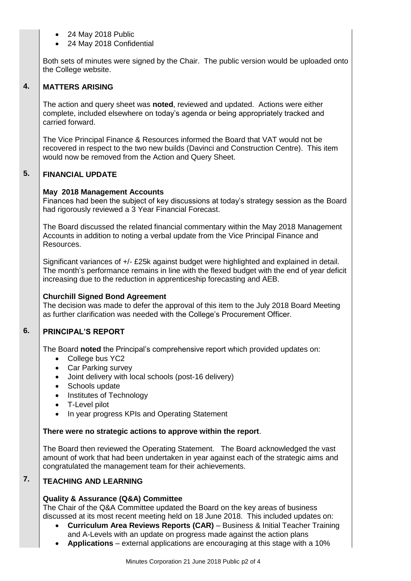- 24 May 2018 Public
- 24 May 2018 Confidential

Both sets of minutes were signed by the Chair. The public version would be uploaded onto the College website.

### **4. MATTERS ARISING**

The action and query sheet was **noted**, reviewed and updated. Actions were either complete, included elsewhere on today's agenda or being appropriately tracked and carried forward.

The Vice Principal Finance & Resources informed the Board that VAT would not be recovered in respect to the two new builds (Davinci and Construction Centre). This item would now be removed from the Action and Query Sheet.

### **5. FINANCIAL UPDATE**

# **May 2018 Management Accounts**

Finances had been the subject of key discussions at today's strategy session as the Board had rigorously reviewed a 3 Year Financial Forecast.

The Board discussed the related financial commentary within the May 2018 Management Accounts in addition to noting a verbal update from the Vice Principal Finance and Resources.

Significant variances of +/- £25k against budget were highlighted and explained in detail. The month's performance remains in line with the flexed budget with the end of year deficit increasing due to the reduction in apprenticeship forecasting and AEB.

# **Churchill Signed Bond Agreement**

The decision was made to defer the approval of this item to the July 2018 Board Meeting as further clarification was needed with the College's Procurement Officer.

### **6. PRINCIPAL'S REPORT**

The Board **noted** the Principal's comprehensive report which provided updates on:

- College bus YC2
- Car Parking survey
- Joint delivery with local schools (post-16 delivery)
- Schools update
- Institutes of Technology
- T-Level pilot
- In year progress KPIs and Operating Statement

# **There were no strategic actions to approve within the report**.

The Board then reviewed the Operating Statement. The Board acknowledged the vast amount of work that had been undertaken in year against each of the strategic aims and congratulated the management team for their achievements.

## **7. TEACHING AND LEARNING**

# **Quality & Assurance (Q&A) Committee**

The Chair of the Q&A Committee updated the Board on the key areas of business discussed at its most recent meeting held on 18 June 2018. This included updates on:

- **Curriculum Area Reviews Reports (CAR)** Business & Initial Teacher Training and A-Levels with an update on progress made against the action plans
- **Applications** external applications are encouraging at this stage with a 10%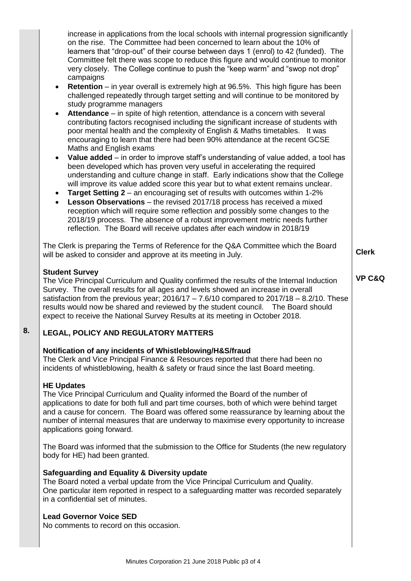| increase in applications from the local schools with internal progression significantly<br>on the rise. The Committee had been concerned to learn about the 10% of<br>learners that "drop-out" of their course between days 1 (enrol) to 42 (funded). The<br>Committee felt there was scope to reduce this figure and would continue to monitor<br>very closely. The College continue to push the "keep warm" and "swop not drop"<br>campaigns<br><b>Retention</b> – in year overall is extremely high at 96.5%. This high figure has been<br>$\bullet$<br>challenged repeatedly through target setting and will continue to be monitored by<br>study programme managers<br>Attendance - in spite of high retention, attendance is a concern with several<br>٠<br>contributing factors recognised including the significant increase of students with<br>poor mental health and the complexity of English & Maths timetables. It was<br>encouraging to learn that there had been 90% attendance at the recent GCSE<br>Maths and English exams<br>Value added - in order to improve staff's understanding of value added, a tool has<br>$\bullet$<br>been developed which has proven very useful in accelerating the required<br>understanding and culture change in staff. Early indications show that the College<br>will improve its value added score this year but to what extent remains unclear.<br>Target Setting 2 - an encouraging set of results with outcomes within 1-2%<br>$\bullet$<br>Lesson Observations - the revised 2017/18 process has received a mixed<br>$\bullet$<br>reception which will require some reflection and possibly some changes to the<br>2018/19 process. The absence of a robust improvement metric needs further<br>reflection. The Board will receive updates after each window in 2018/19<br>The Clerk is preparing the Terms of Reference for the Q&A Committee which the Board<br>will be asked to consider and approve at its meeting in July.<br><b>Student Survey</b><br>The Vice Principal Curriculum and Quality confirmed the results of the Internal Induction<br>Survey. The overall results for all ages and levels showed an increase in overall<br>satisfaction from the previous year; $2016/17 - 7.6/10$ compared to $2017/18 - 8.2/10$ . These<br>results would now be shared and reviewed by the student council.  The Board should | <b>Clerk</b><br><b>VP C&amp;Q</b> |
|----------------------------------------------------------------------------------------------------------------------------------------------------------------------------------------------------------------------------------------------------------------------------------------------------------------------------------------------------------------------------------------------------------------------------------------------------------------------------------------------------------------------------------------------------------------------------------------------------------------------------------------------------------------------------------------------------------------------------------------------------------------------------------------------------------------------------------------------------------------------------------------------------------------------------------------------------------------------------------------------------------------------------------------------------------------------------------------------------------------------------------------------------------------------------------------------------------------------------------------------------------------------------------------------------------------------------------------------------------------------------------------------------------------------------------------------------------------------------------------------------------------------------------------------------------------------------------------------------------------------------------------------------------------------------------------------------------------------------------------------------------------------------------------------------------------------------------------------------------------------------------------------------------------------------------------------------------------------------------------------------------------------------------------------------------------------------------------------------------------------------------------------------------------------------------------------------------------------------------------------------------------------------------------------------------------------------------------------------------------------------------------------|-----------------------------------|
| expect to receive the National Survey Results at its meeting in October 2018.                                                                                                                                                                                                                                                                                                                                                                                                                                                                                                                                                                                                                                                                                                                                                                                                                                                                                                                                                                                                                                                                                                                                                                                                                                                                                                                                                                                                                                                                                                                                                                                                                                                                                                                                                                                                                                                                                                                                                                                                                                                                                                                                                                                                                                                                                                                |                                   |
| <b>LEGAL, POLICY AND REGULATORY MATTERS</b>                                                                                                                                                                                                                                                                                                                                                                                                                                                                                                                                                                                                                                                                                                                                                                                                                                                                                                                                                                                                                                                                                                                                                                                                                                                                                                                                                                                                                                                                                                                                                                                                                                                                                                                                                                                                                                                                                                                                                                                                                                                                                                                                                                                                                                                                                                                                                  |                                   |
| Notification of any incidents of Whistleblowing/H&S/fraud<br>The Clerk and Vice Principal Finance & Resources reported that there had been no<br>incidents of whistleblowing, health & safety or fraud since the last Board meeting.                                                                                                                                                                                                                                                                                                                                                                                                                                                                                                                                                                                                                                                                                                                                                                                                                                                                                                                                                                                                                                                                                                                                                                                                                                                                                                                                                                                                                                                                                                                                                                                                                                                                                                                                                                                                                                                                                                                                                                                                                                                                                                                                                         |                                   |
| <b>HE Updates</b><br>The Vice Principal Curriculum and Quality informed the Board of the number of<br>applications to date for both full and part time courses, both of which were behind target<br>and a cause for concern. The Board was offered some reassurance by learning about the<br>number of internal measures that are underway to maximise every opportunity to increase<br>applications going forward.                                                                                                                                                                                                                                                                                                                                                                                                                                                                                                                                                                                                                                                                                                                                                                                                                                                                                                                                                                                                                                                                                                                                                                                                                                                                                                                                                                                                                                                                                                                                                                                                                                                                                                                                                                                                                                                                                                                                                                          |                                   |
| The Board was informed that the submission to the Office for Students (the new regulatory<br>body for HE) had been granted.                                                                                                                                                                                                                                                                                                                                                                                                                                                                                                                                                                                                                                                                                                                                                                                                                                                                                                                                                                                                                                                                                                                                                                                                                                                                                                                                                                                                                                                                                                                                                                                                                                                                                                                                                                                                                                                                                                                                                                                                                                                                                                                                                                                                                                                                  |                                   |
| Safeguarding and Equality & Diversity update<br>The Board noted a verbal update from the Vice Principal Curriculum and Quality.<br>One particular item reported in respect to a safeguarding matter was recorded separately<br>in a confidential set of minutes.                                                                                                                                                                                                                                                                                                                                                                                                                                                                                                                                                                                                                                                                                                                                                                                                                                                                                                                                                                                                                                                                                                                                                                                                                                                                                                                                                                                                                                                                                                                                                                                                                                                                                                                                                                                                                                                                                                                                                                                                                                                                                                                             |                                   |
| <b>Lead Governor Voice SED</b><br>No comments to record on this occasion.                                                                                                                                                                                                                                                                                                                                                                                                                                                                                                                                                                                                                                                                                                                                                                                                                                                                                                                                                                                                                                                                                                                                                                                                                                                                                                                                                                                                                                                                                                                                                                                                                                                                                                                                                                                                                                                                                                                                                                                                                                                                                                                                                                                                                                                                                                                    |                                   |
|                                                                                                                                                                                                                                                                                                                                                                                                                                                                                                                                                                                                                                                                                                                                                                                                                                                                                                                                                                                                                                                                                                                                                                                                                                                                                                                                                                                                                                                                                                                                                                                                                                                                                                                                                                                                                                                                                                                                                                                                                                                                                                                                                                                                                                                                                                                                                                                              |                                   |

**8.**